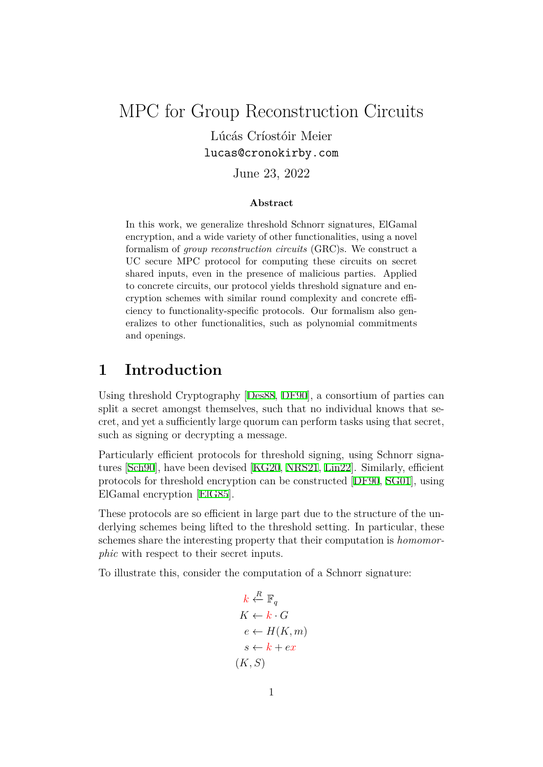MPC for Group Reconstruction Circuits

Lúcás Críostóir Meier lucas@cronokirby.com

June 23, 2022

#### **Abstract**

In this work, we generalize threshold Schnorr signatures, ElGamal encryption, and a wide variety of other functionalities, using a novel formalism of *group reconstruction circuits* (GRC)s. We construct a UC secure MPC protocol for computing these circuits on secret shared inputs, even in the presence of malicious parties. Applied to concrete circuits, our protocol yields threshold signature and encryption schemes with similar round complexity and concrete efficiency to functionality-specific protocols. Our formalism also generalizes to other functionalities, such as polynomial commitments and openings.

# **1 Introduction**

Using threshold Cryptography [Des88, DF90], a consortium of parties can split a secret amongst themselves, such that no individual knows that secret, and yet a sufficiently large quorum can perform tasks using that secret, such as signing or decrypting a [messag](#page-26-0)[e.](#page-26-1)

Particularly efficient protocols for threshold signing, using Schnorr signatures [Sch90], have been devised [KG20, NRS21, Lin22]. Similarly, efficient protocols for threshold encryption can be constructed [DF90, SG01], using ElGamal encryption [ElG85].

These [protoc](#page-27-0)ols are so efficient in [large](#page-26-2) [part due](#page-27-1) [to the](#page-27-2) structure of the underlying schemes being lifted to the threshold setting. [In pa](#page-26-1)r[ticular](#page-27-3), these schemes share the int[eresting](#page-26-3) property that their computation is *homomorphic* with respect to their secret inputs.

To illustrate this, consider the computation of a Schnorr signature:

$$
k \stackrel{R}{\leftarrow} \mathbb{F}_q
$$
  
\n
$$
K \leftarrow k \cdot G
$$
  
\n
$$
e \leftarrow H(K, m)
$$
  
\n
$$
s \leftarrow k + ex
$$
  
\n
$$
(K, S)
$$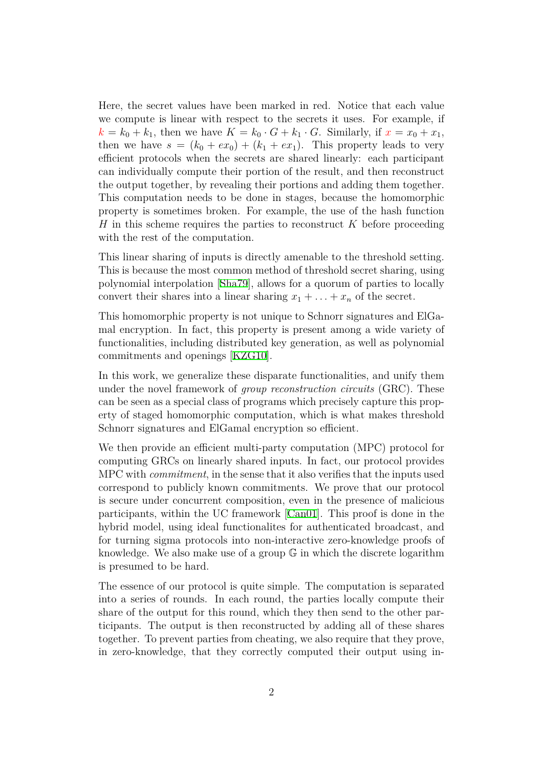Here, the secret values have been marked in red. Notice that each value we compute is linear with respect to the secrets it uses. For example, if  $k = k_0 + k_1$ , then we have  $K = k_0 \cdot G + k_1 \cdot G$ . Similarly, if  $x = x_0 + x_1$ , then we have  $s = (k_0 + e x_0) + (k_1 + e x_1)$ . This property leads to very efficient protocols when the secrets are shared linearly: each participant can individually compute their portion of the result, and then reconstruct the output together, by revealing their portions and adding them together. This computation needs to be done in stages, because the homomorphic property is sometimes broken. For example, the use of the hash function *H* in this scheme requires the parties to reconstruct *K* before proceeding with the rest of the computation.

This linear sharing of inputs is directly amenable to the threshold setting. This is because the most common method of threshold secret sharing, using polynomial interpolation [Sha79], allows for a quorum of parties to locally convert their shares into a linear sharing  $x_1 + \ldots + x_n$  of the secret.

This homomorphic property is not unique to Schnorr signatures and ElGamal encryption. In fact, [this pro](#page-27-4)perty is present among a wide variety of functionalities, including distributed key generation, as well as polynomial commitments and openings [KZG10].

In this work, we generalize these disparate functionalities, and unify them under the novel framework of *group reconstruction circuits* (GRC). These can be seen as a special class [of progr](#page-26-4)ams which precisely capture this property of staged homomorphic computation, which is what makes threshold Schnorr signatures and ElGamal encryption so efficient.

We then provide an efficient multi-party computation (MPC) protocol for computing GRCs on linearly shared inputs. In fact, our protocol provides MPC with *commitment*, in the sense that it also verifies that the inputs used correspond to publicly known commitments. We prove that our protocol is secure under concurrent composition, even in the presence of malicious participants, within the UC framework [Can01]. This proof is done in the hybrid model, using ideal functionalites for authenticated broadcast, and for turning sigma protocols into non-interactive zero-knowledge proofs of knowledge. We also make use of a group G [in w](#page-25-0)hich the discrete logarithm is presumed to be hard.

The essence of our protocol is quite simple. The computation is separated into a series of rounds. In each round, the parties locally compute their share of the output for this round, which they then send to the other participants. The output is then reconstructed by adding all of these shares together. To prevent parties from cheating, we also require that they prove, in zero-knowledge, that they correctly computed their output using in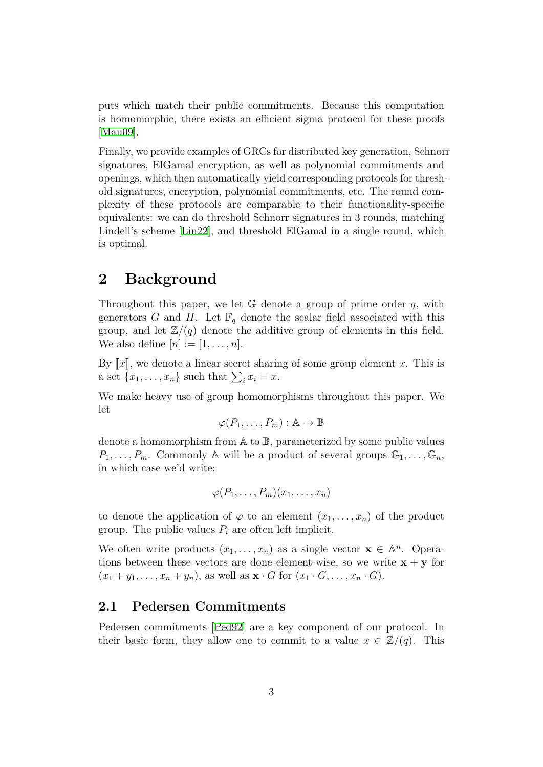puts which match their public commitments. Because this computation is homomorphic, there exists an efficient sigma protocol for these proofs [Mau09].

Finally, we provide examples of GRCs for distributed key generation, Schnorr signatures, ElGamal encryption, as well as polynomial commitments and [opening](#page-27-5)s, which then automatically yield corresponding protocols for threshold signatures, encryption, polynomial commitments, etc. The round complexity of these protocols are comparable to their functionality-specific equivalents: we can do threshold Schnorr signatures in 3 rounds, matching Lindell's scheme [Lin22], and threshold ElGamal in a single round, which is optimal.

# **2 Backgr[ound](#page-27-2)**

Throughout this paper, we let G denote a group of prime order *q*, with generators *G* and *H*. Let  $\mathbb{F}_q$  denote the scalar field associated with this group, and let  $\mathbb{Z}/(q)$  denote the additive group of elements in this field. We also define  $[n] := [1, \ldots, n]$ .

By  $\llbracket x \rrbracket$ , we denote a linear secret sharing of some group element x. This is a set  $\{x_1, \ldots, x_n\}$  such that  $\sum_i x_i = x$ .

We make heavy use of group homomorphisms throughout this paper. We let

$$
\varphi(P_1,\ldots,P_m): \mathbb{A} \to \mathbb{B}
$$

denote a homomorphism from A to B, parameterized by some public values  $P_1, \ldots, P_m$ . Commonly A will be a product of several groups  $\mathbb{G}_1, \ldots, \mathbb{G}_n$ , in which case we'd write:

$$
\varphi(P_1,\ldots,P_m)(x_1,\ldots,x_n)
$$

to denote the application of  $\varphi$  to an element  $(x_1, \ldots, x_n)$  of the product group. The public values  $P_i$  are often left implicit.

We often write products  $(x_1, \ldots, x_n)$  as a single vector  $\mathbf{x} \in \mathbb{A}^n$ . Operations between these vectors are done element-wise, so we write  $\mathbf{x} + \mathbf{y}$  for  $(x_1 + y_1, \ldots, x_n + y_n)$ , as well as  $\mathbf{x} \cdot G$  for  $(x_1 \cdot G, \ldots, x_n \cdot G)$ .

## **2.1 Pedersen Commitments**

Pedersen commitments [Ped92] are a key component of our protocol. In their basic form, they allow one to commit to a value  $x \in \mathbb{Z}/(q)$ . This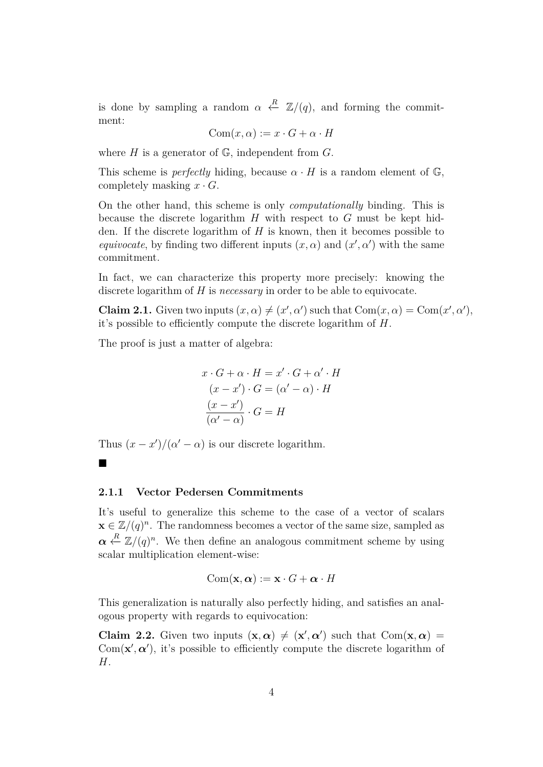is done by sampling a random  $\alpha \stackrel{R}{\leftarrow} \mathbb{Z}/(q)$ , and forming the commitment:

$$
Com(x, \alpha) := x \cdot G + \alpha \cdot H
$$

where  $H$  is a generator of  $\mathbb{G}$ , independent from  $G$ .

This scheme is *perfectly* hiding, because  $\alpha \cdot H$  is a random element of  $\mathbb{G}$ , completely masking  $x \cdot G$ .

On the other hand, this scheme is only *computationally* binding. This is because the discrete logarithm *H* with respect to *G* must be kept hidden. If the discrete logarithm of *H* is known, then it becomes possible to *equivocate*, by finding two different inputs  $(x, \alpha)$  and  $(x', \alpha')$  with the same commitment.

In fact, we can characterize this property more precisely: knowing the discrete logarithm of *H* is *necessary* in order to be able to equivocate.

**Claim 2.1.** Given two inputs  $(x, \alpha) \neq (x', \alpha')$  such that  $Com(x, \alpha) = Com(x', \alpha')$ , it's possible to efficiently compute the discrete logarithm of *H*.

The proof is just a matter of algebra:

$$
x \cdot G + \alpha \cdot H = x' \cdot G + \alpha' \cdot H
$$

$$
(x - x') \cdot G = (\alpha' - \alpha) \cdot H
$$

$$
\frac{(x - x')}{(\alpha' - \alpha)} \cdot G = H
$$

Thus  $(x - x')/(\alpha' - \alpha)$  is our discrete logarithm.

#### **2.1.1 Vector Pedersen Commitments**

■

It's useful to generalize this scheme to the case of a vector of scalars  $\mathbf{x} \in \mathbb{Z}/(q)^n$ . The randomness becomes a vector of the same size, sampled as  $\alpha \stackrel{R}{\leftarrow} \mathbb{Z}/(q)^n$ . We then define an analogous commitment scheme by using scalar multiplication element-wise:

$$
\text{Com}(\mathbf{x},\boldsymbol{\alpha}):=\mathbf{x}\cdot G+\boldsymbol{\alpha}\cdot H
$$

This generalization is naturally also perfectly hiding, and satisfies an analogous property with regards to equivocation:

**Claim 2.2.** Given two inputs  $({\bf x}, \alpha) \neq ({\bf x}', \alpha')$  such that  $Com({\bf x}, \alpha) =$ Com( $\mathbf{x}'$ ,  $\alpha'$ ), it's possible to efficiently compute the discrete logarithm of *H*.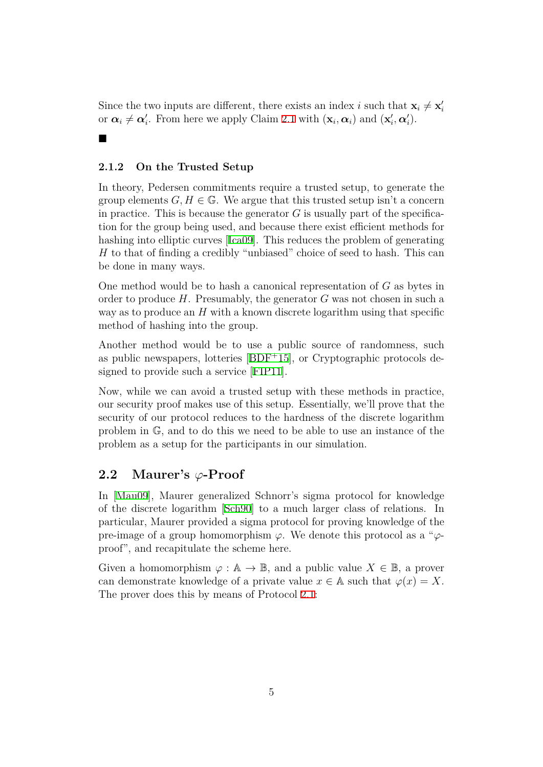Since the two inputs are different, there exists an index *i* such that  $\mathbf{x}_i \neq \mathbf{x}'_i$ or  $\alpha_i \neq \alpha'_i$ . From here we apply Claim 2.1 with  $(\mathbf{x}_i, \alpha_i)$  and  $(\mathbf{x}'_i, \alpha'_i)$ .

### **2.1.2 On the Trusted Setup**

■

In theory, Pedersen commitments require a trusted setup, to generate the group elements  $G, H \in \mathbb{G}$ . We argue that this trusted setup isn't a concern in practice. This is because the generator  $G$  is usually part of the specification for the group being used, and because there exist efficient methods for hashing into elliptic curves [Ica09]. This reduces the problem of generating *H* to that of finding a credibly "unbiased" choice of seed to hash. This can be done in many ways.

One method would be to h[ash a](#page-26-5) canonical representation of *G* as bytes in order to produce *H*. Presumably, the generator *G* was not chosen in such a way as to produce an *H* with a known discrete logarithm using that specific method of hashing into the group.

Another method would be to use a public source of randomness, such as public newspapers, lotteries [BDF<sup>+</sup>15], or Cryptographic protocols designed to provide such a service [FIP11].

Now, while we can avoid a trusted setup with these methods in practice, our security proof makes use of [this setup](#page-25-1). Essentially, we'll prove that the security of our protocol reduces [to the](#page-26-6) hardness of the discrete logarithm problem in G, and to do this we need to be able to use an instance of the problem as a setup for the participants in our simulation.

## **2.2 Maurer's** *φ***-Proof**

<span id="page-4-0"></span>In [Mau09], Maurer generalized Schnorr's sigma protocol for knowledge of the discrete logarithm [Sch90] to a much larger class of relations. In particular, Maurer provided a sigma protocol for proving knowledge of the pre[-image](#page-27-5) of a group homomorphism *φ*. We denote this protocol as a "*φ*proof", and recapitulate th[e sche](#page-27-0)me here.

Given a homomorphism  $\varphi : \mathbb{A} \to \mathbb{B}$ , and a public value  $X \in \mathbb{B}$ , a prover can demonstrate knowledge of a private value  $x \in A$  such that  $\varphi(x) = X$ . The prover does this by means of Protocol 2.1: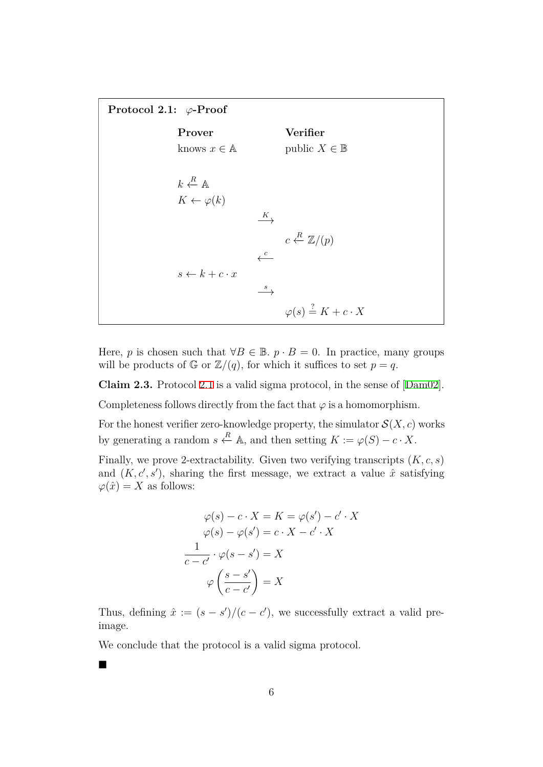<span id="page-5-0"></span>**Protocol 2.1:** *φ***-Proof Prover Verifier** knows  $x \in \mathbb{A}$  public  $X \in \mathbb{B}$  $k \leftarrow R$  A  $K \leftarrow \varphi(k)$ *K −→*  $c \leftarrow R$  Z/ $(p)$ *<sup>c</sup> ←−*  $s \leftarrow k + c \cdot x$ *<sup>s</sup> −→*  $\varphi(s) \stackrel{?}{=} K + c \cdot X$ 

Here, *p* is chosen such that  $\forall B \in \mathbb{B}$ .  $p \cdot B = 0$ . In practice, many groups will be products of  $\mathbb{G}$  or  $\mathbb{Z}/(q)$ , for which it suffices to set  $p = q$ .

**Claim 2.3.** Protocol 2.1 is a valid sigma protocol, in the sense of [Dam02].

Completeness follows directly from the fact that  $\varphi$  is a homomorphism.

For the honest verifier [zer](#page-5-0)o-knowledge property, the simulator  $\mathcal{S}(X, c)$  [work](#page-25-2)s by generating a random  $s \stackrel{R}{\leftarrow} A$ , and then setting  $K := \varphi(S) - c \cdot X$ .

Finally, we prove 2-extractability. Given two verifying transcripts (*K, c, s*) and  $(K, c', s')$ , sharing the first message, we extract a value  $\hat{x}$  satisfying  $\varphi(\hat{x}) = X$  as follows:

$$
\varphi(s) - c \cdot X = K = \varphi(s') - c' \cdot X
$$

$$
\varphi(s) - \varphi(s') = c \cdot X - c' \cdot X
$$

$$
\frac{1}{c - c'} \cdot \varphi(s - s') = X
$$

$$
\varphi\left(\frac{s - s'}{c - c'}\right) = X
$$

Thus, defining  $\hat{x} := (s - s')/(c - c')$ , we successfully extract a valid preimage.

We conclude that the protocol is a valid sigma protocol.

■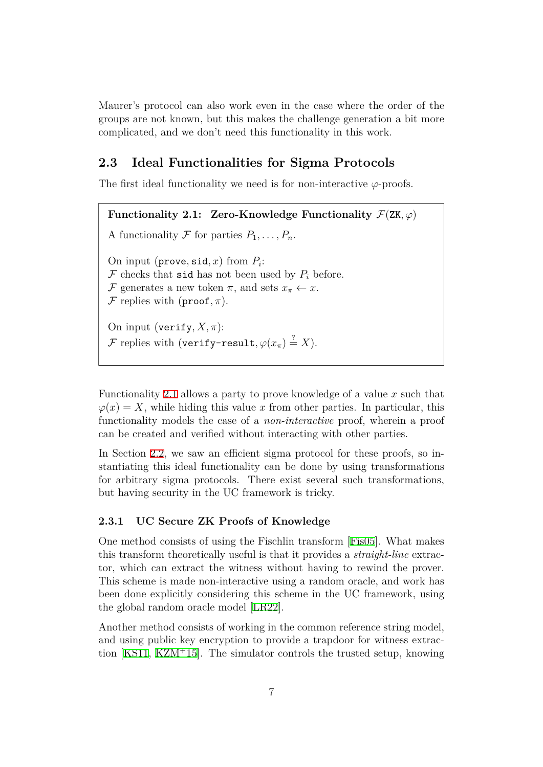Maurer's protocol can also work even in the case where the order of the groups are not known, but this makes the challenge generation a bit more complicated, and we don't need this functionality in this work.

## **2.3 Ideal Functionalities for Sigma Protocols**

The first ideal functionality we need is for non-interactive  $\varphi$ -proofs.

<span id="page-6-0"></span>**Functionality 2.1:** Zero-Knowledge Functionality  $\mathcal{F}(ZK, \varphi)$ A functionality  $\mathcal F$  for parties  $P_1, \ldots, P_n$ . On input  $(\text{prove}, \text{sid}, x)$  from  $P_i$ :  $\mathcal F$  checks that sid has not been used by  $P_i$  before. *F* generates a new token  $\pi$ , and sets  $x_{\pi} \leftarrow x$ . *F* replies with ( $\text{proof}, \pi$ ). On input (verify,  $X, \pi$ ): *F* replies with (verify-result,  $\varphi(x_{\pi}) \stackrel{?}{=} X$ ).

Functionality 2.1 allows a party to prove knowledge of a value *x* such that  $\varphi(x) = X$ , while hiding this value *x* from other parties. In particular, this functionality models the case of a *non-interactive* proof, wherein a proof can be create[d an](#page-6-0)d verified without interacting with other parties.

In Section 2.2, we saw an efficient sigma protocol for these proofs, so instantiating this ideal functionality can be done by using transformations for arbitrary sigma protocols. There exist several such transformations, but having [sec](#page-4-0)urity in the UC framework is tricky.

## **2.3.1 UC Secure ZK Proofs of Knowledge**

One method consists of using the Fischlin transform [Fis05]. What makes this transform theoretically useful is that it provides a *straight-line* extractor, which can extract the witness without having to rewind the prover. This scheme is made non-interactive using a random [oracle](#page-26-7), and work has been done explicitly considering this scheme in the UC framework, using the global random oracle model [LR22].

Another method consists of working in the common reference string model, and using public key encryption to provide a trapdoor for witness extraction [KS11, KZM<sup>+</sup>15]. The simu[lator c](#page-27-6)ontrols the trusted setup, knowing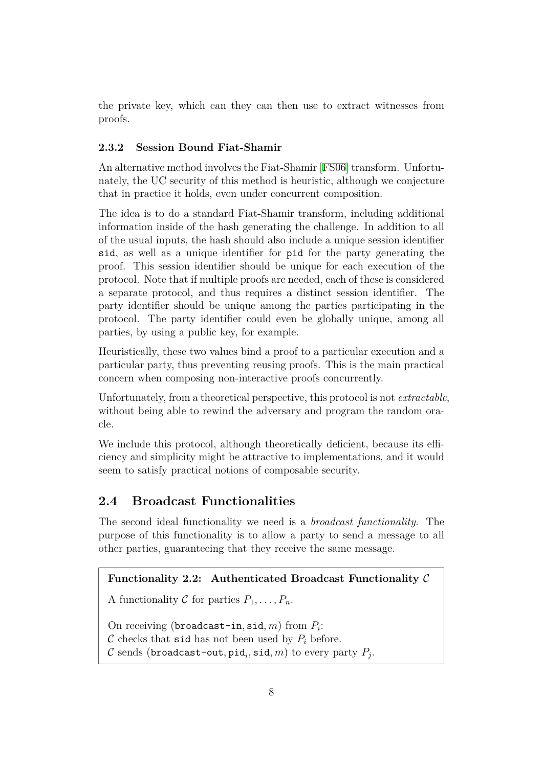the private key, which can they can then use to extract witnesses from proofs.

## **2.3.2 Session Bound Fiat-Shamir**

An alternative method involves the Fiat-Shamir [FS06] transform. Unfortunately, the UC security of this method is heuristic, although we conjecture that in practice it holds, even under concurrent composition.

The idea is to do a standard Fiat-Shamir tran[sform,](#page-26-8) including additional information inside of the hash generating the challenge. In addition to all of the usual inputs, the hash should also include a unique session identifier sid, as well as a unique identifier for pid for the party generating the proof. This session identifier should be unique for each execution of the protocol. Note that if multiple proofs are needed, each of these is considered a separate protocol, and thus requires a distinct session identifier. The party identifier should be unique among the parties participating in the protocol. The party identifier could even be globally unique, among all parties, by using a public key, for example.

Heuristically, these two values bind a proof to a particular execution and a particular party, thus preventing reusing proofs. This is the main practical concern when composing non-interactive proofs concurrently.

Unfortunately, from a theoretical perspective, this protocol is not *extractable*, without being able to rewind the adversary and program the random oracle.

We include this protocol, although theoretically deficient, because its efficiency and simplicity might be attractive to implementations, and it would seem to satisfy practical notions of composable security.

## **2.4 Broadcast Functionalities**

The second ideal functionality we need is a *broadcast functionality*. The purpose of this functionality is to allow a party to send a message to all other parties, guaranteeing that they receive the same message.

## **Functionality 2.2: Authenticated Broadcast Functionality** *C*

A functionality C for parties  $P_1, \ldots, P_n$ .

On receiving (broadcast-in*,* sid*, m*) from *P<sup>i</sup>* :

*C* checks that sid has not been used by  $P_i$  before.

 $\mathcal C$  sends (broadcast-out,  $\operatorname{\mathsf{pid}}_i, \operatorname{\mathsf{sid}}, m)$  to every party  $P_j.$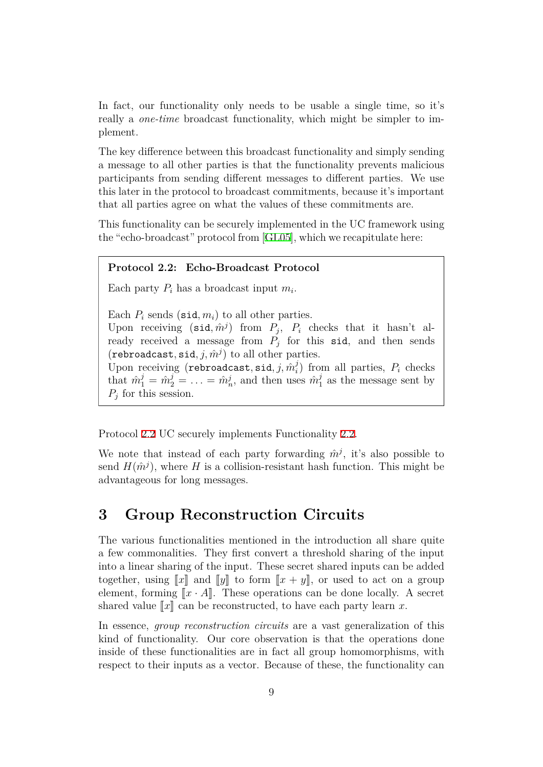In fact, our functionality only needs to be usable a single time, so it's really a *one-time* broadcast functionality, which might be simpler to implement.

The key difference between this broadcast functionality and simply sending a message to all other parties is that the functionality prevents malicious participants from sending different messages to different parties. We use this later in the protocol to broadcast commitments, because it's important that all parties agree on what the values of these commitments are.

This functionality can be securely implemented in the UC framework using the "echo-broadcast" protocol from [GL05], which we recapitulate here:

### **Protocol 2.2: Echo-Broadcast Protocol**

<span id="page-8-0"></span>Each party  $P_i$  has a broadcast in[put](#page-26-9)  $m_i$ .

Each  $P_i$  sends (sid,  $m_i$ ) to all other parties. Upon receiving  $(\text{sid}, \hat{m}^j)$  from  $P_j$ ,  $P_i$  checks that it hasn't al-

ready received a message from  $P_j$  for this sid, and then sends  $(rebroadcast, sid, j, \hat{m}^j)$  to all other parties.

 $\dot{\text{Upon receiving (rebroadcast, sid}, j, \hat{m}_i^j)}$  $P_i$  from all parties,  $P_i$  checks that  $\hat{m}_1^j = \hat{m}_2^j = \ldots = \hat{m}_n^j$ , and then uses  $\hat{m}_1^j$  $\frac{1}{1}$  as the message sent by  $P_j$  for this session.

Protocol 2.2 UC securely implements Functionality 2.2.

We note that instead of each party forwarding  $\hat{m}^j$ , it's also possible to send  $H(\hat{m}^j)$ , where *H* is a collision-resistant hash function. This might be advantag[eou](#page-8-0)s for long messages.

# **3 Group Reconstruction Circuits**

The various functionalities mentioned in the introduction all share quite a few commonalities. They first convert a threshold sharing of the input into a linear sharing of the input. These secret shared inputs can be added together, using  $\llbracket x \rrbracket$  and  $\llbracket y \rrbracket$  to form  $\llbracket x + y \rrbracket$ , or used to act on a group element, forming  $\llbracket x \cdot A \rrbracket$ . These operations can be done locally. A secret shared value  $\llbracket x \rrbracket$  can be reconstructed, to have each party learn *x*.

In essence, *group reconstruction circuits* are a vast generalization of this kind of functionality. Our core observation is that the operations done inside of these functionalities are in fact all group homomorphisms, with respect to their inputs as a vector. Because of these, the functionality can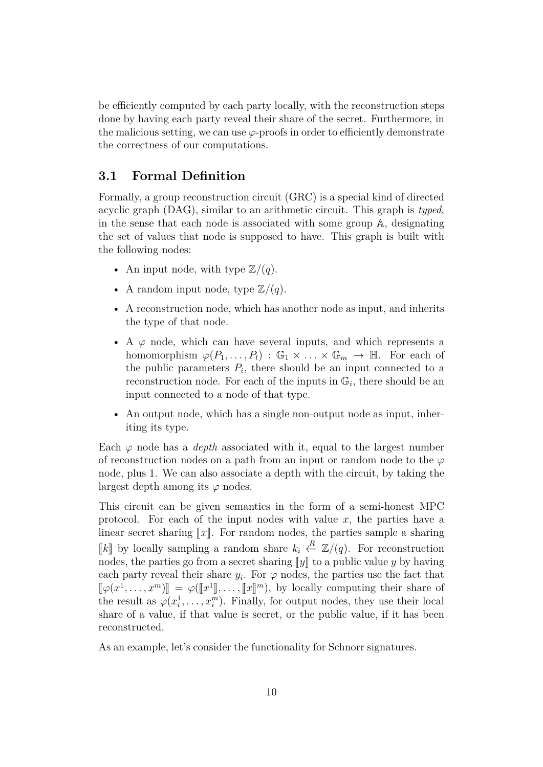be efficiently computed by each party locally, with the reconstruction steps done by having each party reveal their share of the secret. Furthermore, in the malicious setting, we can use  $\varphi$ -proofs in order to efficiently demonstrate the correctness of our computations.

## **3.1 Formal Definition**

Formally, a group reconstruction circuit (GRC) is a special kind of directed acyclic graph (DAG), similar to an arithmetic circuit. This graph is *typed*, in the sense that each node is associated with some group A, designating the set of values that node is supposed to have. This graph is built with the following nodes:

- An input node, with type  $\mathbb{Z}/(q)$ .
- A random input node, type  $\mathbb{Z}/(q)$ .
- A reconstruction node, which has another node as input, and inherits the type of that node.
- A  $\varphi$  node, which can have several inputs, and which represents a homomorphism  $\varphi(P_1, \ldots, P_l) : \mathbb{G}_1 \times \ldots \times \mathbb{G}_m \to \mathbb{H}$ . For each of the public parameters  $P_i$ , there should be an input connected to a reconstruction node. For each of the inputs in  $\mathbb{G}_i$ , there should be an input connected to a node of that type.
- An output node, which has a single non-output node as input, inheriting its type.

Each  $\varphi$  node has a *depth* associated with it, equal to the largest number of reconstruction nodes on a path from an input or random node to the  $\varphi$ node, plus 1. We can also associate a depth with the circuit, by taking the largest depth among its  $\varphi$  nodes.

This circuit can be given semantics in the form of a semi-honest MPC protocol. For each of the input nodes with value  $x$ , the parties have a linear secret sharing  $\llbracket x \rrbracket$ . For random nodes, the parties sample a sharing *<i>[k]* by locally sampling a random share  $k_i \leftarrow \mathbb{Z}/(q)$ . For reconstruction nodes, the parties go from a secret sharing  $\llbracket y \rrbracket$  to a public value *y* by having each party reveal their share  $y_i$ . For  $\varphi$  nodes, the parties use the fact that  $\llbracket \varphi(x^1,\ldots,x^m) \rrbracket = \varphi(\llbracket x^1 \rrbracket,\ldots,\llbracket x \rrbracket^m)$ , by locally computing their share of the result as  $\varphi(x_i^1, \ldots, x_i^m)$ . Finally, for output nodes, they use their local share of a value, if that value is secret, or the public value, if it has been reconstructed.

As an example, let's consider the functionality for Schnorr signatures.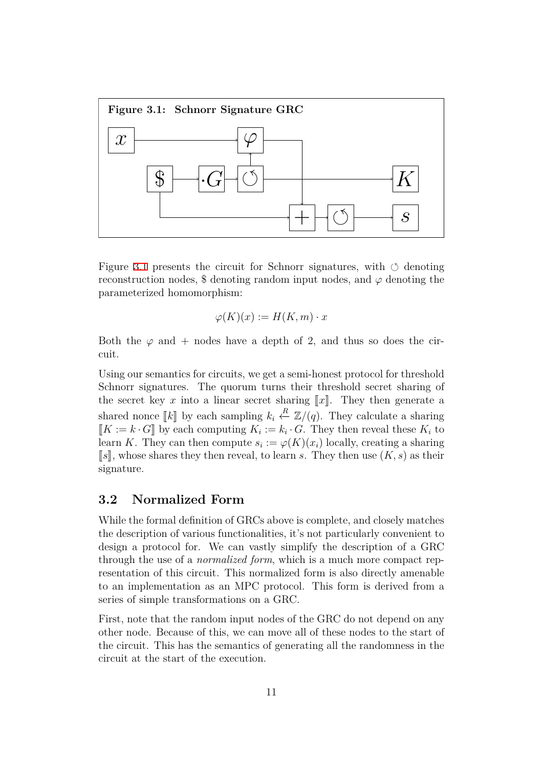

Figure 3.1 presents the circuit for Schnorr signatures, with  $\circ$  denoting reconstruction nodes, \$ denoting random input nodes, and  $\varphi$  denoting the parameterized homomorphism:

$$
\varphi(K)(x) := H(K, m) \cdot x
$$

Both the  $\varphi$  and + nodes have a depth of 2, and thus so does the circuit.

Using our semantics for circuits, we get a semi-honest protocol for threshold Schnorr signatures. The quorum turns their threshold secret sharing of the secret key x into a linear secret sharing  $\llbracket x \rrbracket$ . They then generate a shared nonce  $\llbracket k \rrbracket$  by each sampling  $k_i \stackrel{R}{\leftarrow} \mathbb{Z}/(q)$ . They calculate a sharing  $[K := k \cdot G]$  by each computing  $K_i := k_i \cdot G$ . They then reveal these  $K_i$  to learn *K*. They can then compute  $s_i := \varphi(K)(x_i)$  locally, creating a sharing  $\llbracket s \rrbracket$ , whose shares they then reveal, to learn *s*. They then use  $(K, s)$  as their signature.

## **3.2 Normalized Form**

While the formal definition of GRCs above is complete, and closely matches the description of various functionalities, it's not particularly convenient to design a protocol for. We can vastly simplify the description of a GRC through the use of a *normalized form*, which is a much more compact representation of this circuit. This normalized form is also directly amenable to an implementation as an MPC protocol. This form is derived from a series of simple transformations on a GRC.

First, note that the random input nodes of the GRC do not depend on any other node. Because of this, we can move all of these nodes to the start of the circuit. This has the semantics of generating all the randomness in the circuit at the start of the execution.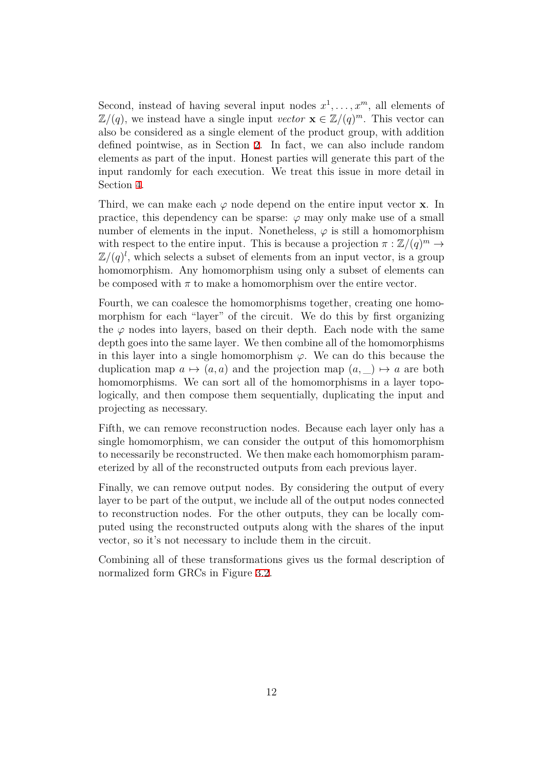Second, instead of having several input nodes  $x^1, \ldots, x^m$ , all elements of  $\mathbb{Z}/(q)$ , we instead have a single input *vector*  $\mathbf{x} \in \mathbb{Z}/(q)^m$ . This vector can also be considered as a single element of the product group, with addition defined pointwise, as in Section 2. In fact, we can also include random elements as part of the input. Honest parties will generate this part of the input randomly for each execution. We treat this issue in more detail in Section 4.

Third, we can make each  $\varphi$  node depend on the entire input vector **x**. In practice, this dependency can be sparse:  $\varphi$  may only make use of a small number [o](#page-12-0)f elements in the input. Nonetheless,  $\varphi$  is still a homomorphism with respect to the entire input. This is because a projection  $\pi : \mathbb{Z}/(q)^m \to$  $\mathbb{Z}/(q)^l$ , which selects a subset of elements from an input vector, is a group homomorphism. Any homomorphism using only a subset of elements can be composed with  $\pi$  to make a homomorphism over the entire vector.

Fourth, we can coalesce the homomorphisms together, creating one homomorphism for each "layer" of the circuit. We do this by first organizing the  $\varphi$  nodes into layers, based on their depth. Each node with the same depth goes into the same layer. We then combine all of the homomorphisms in this layer into a single homomorphism  $\varphi$ . We can do this because the duplication map  $a \mapsto (a, a)$  and the projection map  $(a, \underline{\hspace{0.2cm}}) \mapsto a$  are both homomorphisms. We can sort all of the homomorphisms in a layer topologically, and then compose them sequentially, duplicating the input and projecting as necessary.

Fifth, we can remove reconstruction nodes. Because each layer only has a single homomorphism, we can consider the output of this homomorphism to necessarily be reconstructed. We then make each homomorphism parameterized by all of the reconstructed outputs from each previous layer.

Finally, we can remove output nodes. By considering the output of every layer to be part of the output, we include all of the output nodes connected to reconstruction nodes. For the other outputs, they can be locally computed using the reconstructed outputs along with the shares of the input vector, so it's not necessary to include them in the circuit.

Combining all of these transformations gives us the formal description of normalized form GRCs in Figure 3.2.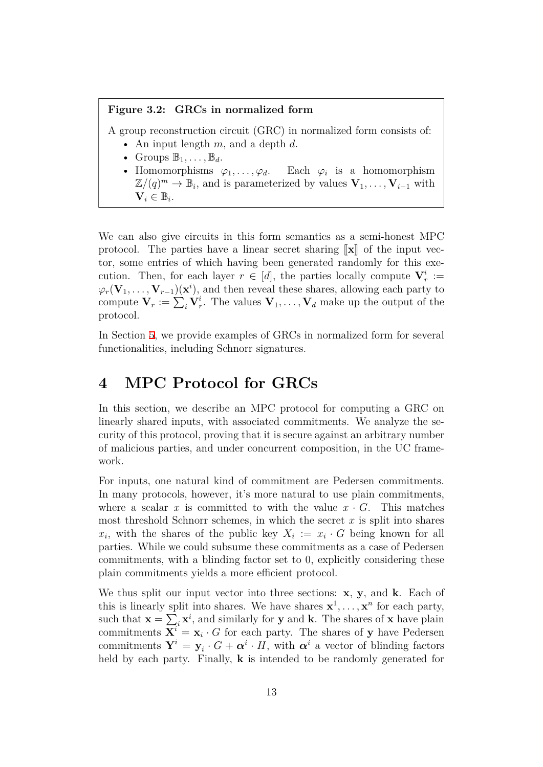#### **Figure 3.2: GRCs in normalized form**

A group reconstruction circuit (GRC) in normalized form consists of:

- An input length *m*, and a depth *d*.
- Groups  $\mathbb{B}_1, \ldots, \mathbb{B}_d$ .
- Homomorphisms  $\varphi_1, \ldots, \varphi_d$ . Each  $\varphi_i$  is a homomorphism  $\mathbb{Z}/(q)^m \to \mathbb{B}_i$ , and is parameterized by values  $\mathbf{V}_1, \ldots, \mathbf{V}_{i-1}$  with  $\mathbf{V}_i \in \mathbb{B}_i$ .

We can also give circuits in this form semantics as a semi-honest MPC protocol. The parties have a linear secret sharing  $\|\mathbf{x}\|$  of the input vector, some entries of which having been generated randomly for this execution. Then, for each layer  $r \in [d]$ , the parties locally compute  $V_r^i :=$  $\varphi_r(\mathbf{V}_1, \ldots, \mathbf{V}_{r-1})(\mathbf{x}^i)$ , and then reveal these shares, allowing each party to compute  $\mathbf{V}_r := \sum_i \mathbf{V}_r^i$ . The values  $\mathbf{V}_1, \ldots, \mathbf{V}_d$  make up the output of the protocol.

In Section 5, we provide examples of GRCs in normalized form for several functionalities, including Schnorr signatures.

# **4 M[PC](#page-20-0) Protocol for GRCs**

<span id="page-12-0"></span>In this section, we describe an MPC protocol for computing a GRC on linearly shared inputs, with associated commitments. We analyze the security of this protocol, proving that it is secure against an arbitrary number of malicious parties, and under concurrent composition, in the UC framework.

For inputs, one natural kind of commitment are Pedersen commitments. In many protocols, however, it's more natural to use plain commitments, where a scalar *x* is committed to with the value  $x \cdot G$ . This matches most threshold Schnorr schemes, in which the secret  $x$  is split into shares  $x_i$ , with the shares of the public key  $X_i := x_i \cdot G$  being known for all parties. While we could subsume these commitments as a case of Pedersen commitments, with a blinding factor set to 0, explicitly considering these plain commitments yields a more efficient protocol.

We thus split our input vector into three sections: **x**, **y**, and **k**. Each of this is linearly split into shares. We have shares  $x^1, \ldots, x^n$  for each party, such that  $\mathbf{x} = \sum_i \mathbf{x}^i$ , and similarly for **y** and **k**. The shares of **x** have plain commitments  $X^i = x_i \cdot G$  for each party. The shares of y have Pedersen commitments  $Y^i = y_i \cdot G + \alpha^i \cdot H$ , with  $\alpha^i$  a vector of blinding factors held by each party. Finally, **k** is intended to be randomly generated for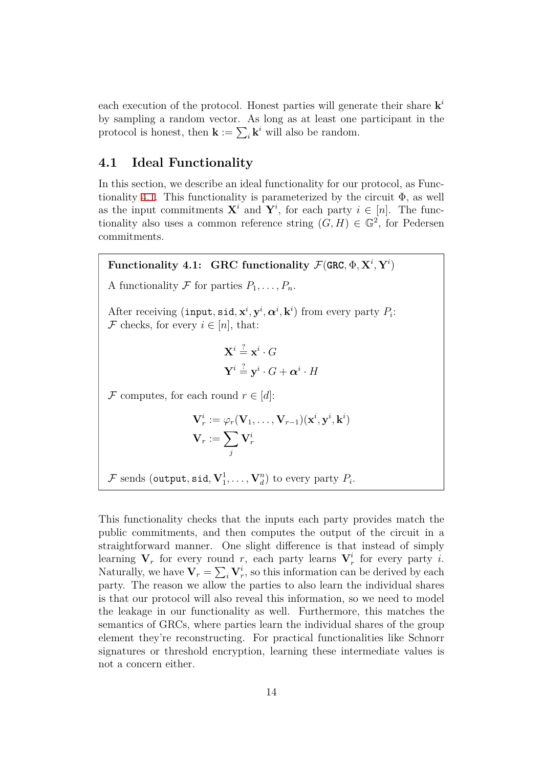each execution of the protocol. Honest parties will generate their share **k** *i* by sampling a random vector. As long as at least one participant in the protocol is honest, then  $\mathbf{k} := \sum_i \mathbf{k}^i$  will also be random.

## **4.1 Ideal Functionality**

In this section, we describe an ideal functionality for our protocol, as Functionality 4.1. This functionality is parameterized by the circuit  $\Phi$ , as well as the input commitments  $\mathbf{X}^i$  and  $\mathbf{Y}^i$ , for each party  $i \in [n]$ . The functionality also uses a common reference string  $(G, H) \in \mathbb{G}^2$ , for Pedersen commit[ment](#page-13-0)s.

<span id="page-13-0"></span> $\mathbf{F}$ unctionality 4.1:  $\mathbf{GRC}$  functionality  $\mathcal{F}(\mathbf{GRC},\Phi,\mathbf{X}^i,\mathbf{Y}^i)$ A functionality  $\mathcal F$  for parties  $P_1, \ldots, P_n$ . After receiving (input,  $\text{sid}, \mathbf{x}^i, \mathbf{y}^i, \alpha^i, \mathbf{k}^i$ ) from every party  $P_i$ : *F* checks, for every  $i \in [n]$ , that:  $\mathbf{X}^i \stackrel{?}{=} \mathbf{x}^i \cdot G$  $\mathbf{Y}^i \stackrel{?}{=} \mathbf{y}^i \cdot G + \boldsymbol{\alpha}^i \cdot H$ *F* computes, for each round  $r \in [d]$ :  $\mathbf{V}_r^i := \varphi_r(\mathbf{V}_1, \dots, \mathbf{V}_{r-1})(\mathbf{x}^i, \mathbf{y}^i, \mathbf{k}^i)$  $V_r := \sum$ *j*  $\mathbf{V}_r^i$  $\mathcal{F}$  sends (output, sid,  $\mathbf{V}_1^1, \ldots, \mathbf{V}_d^n$ ) to every party  $P_i$ .

This functionality checks that the inputs each party provides match the public commitments, and then computes the output of the circuit in a straightforward manner. One slight difference is that instead of simply learning  $V_r$  for every round  $r$ , each party learns  $V_r^i$  for every party *i*. Naturally, we have  $V_r = \sum_i V_r^i$ , so this information can be derived by each party. The reason we allow the parties to also learn the individual shares is that our protocol will also reveal this information, so we need to model the leakage in our functionality as well. Furthermore, this matches the semantics of GRCs, where parties learn the individual shares of the group element they're reconstructing. For practical functionalities like Schnorr signatures or threshold encryption, learning these intermediate values is not a concern either.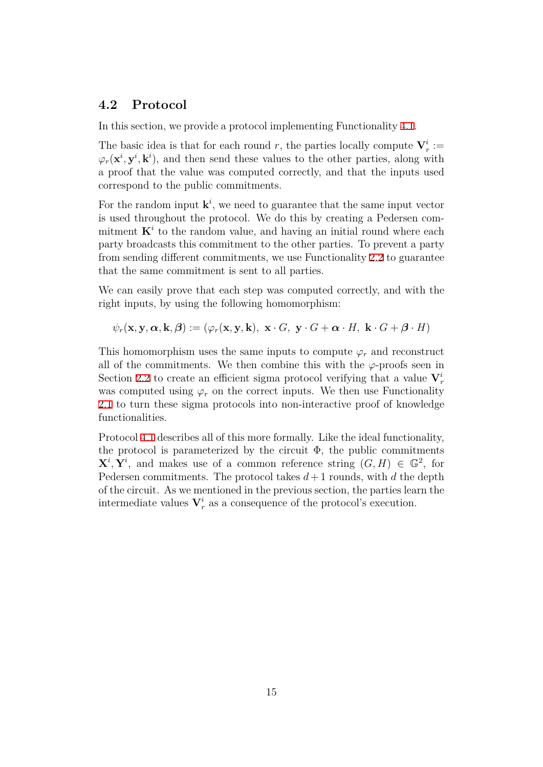## **4.2 Protocol**

In this section, we provide a protocol implementing Functionality 4.1.

The basic idea is that for each round *r*, the parties locally compute  $V_r^i$ :  $\varphi_r(\mathbf{x}^i, \mathbf{y}^i, \mathbf{k}^i)$ , and then send these values to the other parties, along with a proof that the value was computed correctly, and that the in[put](#page-13-0)s used correspond to the public commitments.

For the random input  $\mathbf{k}^i$ , we need to guarantee that the same input vector is used throughout the protocol. We do this by creating a Pedersen commitment  $K^i$  to the random value, and having an initial round where each party broadcasts this commitment to the other parties. To prevent a party from sending different commitments, we use Functionality 2.2 to guarantee that the same commitment is sent to all parties.

We can easily prove that each step was computed correctly, and with the right inputs, by using the following homomorphism:

$$
\psi_r(\mathbf{x}, \mathbf{y}, \boldsymbol{\alpha}, \mathbf{k}, \boldsymbol{\beta}) := (\varphi_r(\mathbf{x}, \mathbf{y}, \mathbf{k}), \ \mathbf{x} \cdot G, \ \mathbf{y} \cdot G + \boldsymbol{\alpha} \cdot H, \ \mathbf{k} \cdot G + \boldsymbol{\beta} \cdot H)
$$

This homomorphism uses the same inputs to compute  $\varphi_r$  and reconstruct all of the commitments. We then combine this with the  $\varphi$ -proofs seen in Section 2.2 to create an efficient sigma protocol verifying that a value  $V_r^i$ was computed using  $\varphi_r$  on the correct inputs. We then use Functionality 2.1 to turn these sigma protocols into non-interactive proof of knowledge functio[nalit](#page-4-0)ies.

Protocol 4.1 describes all of this more formally. Like the ideal functionality, [the](#page-6-0) protocol is parameterized by the circuit  $\Phi$ , the public commitments  $X^i, Y^i$ , and makes use of a common reference string  $(G, H) \in \mathbb{G}^2$ , for Pedersen [com](#page-15-0)mitments. The protocol takes  $d+1$  rounds, with  $d$  the depth of the circuit. As we mentioned in the previous section, the parties learn the intermediate values  $V_r^i$  as a consequence of the protocol's execution.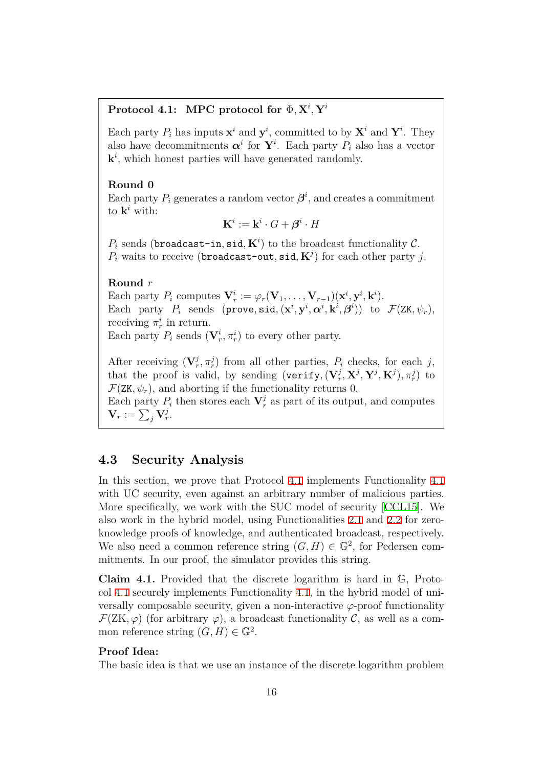## $\text{Protocol 4.1:} \text{ MPC protocol for } \Phi, \textbf{X}^i, \textbf{Y}^i$

<span id="page-15-0"></span>Each party  $P_i$  has inputs  $\mathbf{x}^i$  and  $\mathbf{y}^i$ , committed to by  $\mathbf{X}^i$  and  $\mathbf{Y}^i$ . They also have decommitments  $\boldsymbol{\alpha}^i$  for  $\mathbf{Y}^i$ . Each party  $P_i$  also has a vector  $\mathbf{k}^i$ , which honest parties will have generated randomly.

### **Round 0**

Each party  $P_i$  generates a random vector  $\boldsymbol{\beta}^i$ , and creates a commitment to  $\mathbf{k}^i$  with:

 $\mathbf{K}^i := \mathbf{k}^i \cdot G + \boldsymbol{\beta}^i \cdot H$ 

 $P_i$  sends (broadcast-in, sid,  $\mathbf{K}^i$ ) to the broadcast functionality  $\mathcal{C}$ .  $P_i$  waits to receive (broadcast-out, sid,  $\mathbf{K}^j$ ) for each other party *j*.

### **Round** *r*

Each party  $P_i$  computes  $\mathbf{V}_r^i := \varphi_r(\mathbf{V}_1, \dots, \mathbf{V}_{r-1})(\mathbf{x}^i, \mathbf{y}^i, \mathbf{k}^i)$ . Each party  $P_i$  sends (prove, sid,  $(\mathbf{x}^i, \mathbf{y}^i, \boldsymbol{\alpha}^i, \mathbf{k}^i, \boldsymbol{\beta}^i)$ ) to  $\mathcal{F}(\text{ZK}, \psi_r)$ , receiving  $\pi_r^i$  in return.

Each party  $P_i$  sends  $(\mathbf{V}_r^i, \pi_r^i)$  to every other party.

After receiving  $(\mathbf{V}_r^j, \pi_r^j)$  from all other parties,  $P_i$  checks, for each *j*, that the proof is valid, by sending  $(\textbf{verify}, (\textbf{V}_r^j, \textbf{X}^j, \textbf{Y}^j, \textbf{K}^j), \pi_r^j)$  to  $\mathcal{F}(ZK, \psi_r)$ , and aborting if the functionality returns 0. Each party  $P_i$  then stores each  $\mathbf{V}_r^j$  as part of its output, and computes  $\mathbf{V}_r := \sum_j \mathbf{V}_r^j.$ 

## **4.3 Security Analysis**

In this section, we prove that Protocol 4.1 implements Functionality 4.1 with UC security, even against an arbitrary number of malicious parties. More specifically, we work with the SUC model of security [CCL15]. We also work in the hybrid model, using Fu[nct](#page-15-0)ionalities 2.1 and 2.2 for z[ero](#page-13-0)knowledge proofs of knowledge, and authenticated broadcast, respectively. We also need a common reference string  $(G, H) \in \mathbb{G}^2$ , for P[edersen](#page-25-3) commitments. In our proof, the simulator provides this s[trin](#page-6-0)g.

**Claim 4.1.** Provided that the discrete logarithm is hard in G, Protocol 4.1 securely implements Functionality 4.1, in the hybrid model of universally composable security, given a non-interactive  $\varphi$ -proof functionality  $\mathcal{F}(ZK,\varphi)$  (for arbitrary  $\varphi$ ), a broadcast functionality  $\mathcal{C}$ , as well as a commo[n re](#page-15-0)ference string  $(G, H) \in \mathbb{G}^2$ .

### **Proof Idea:**

The basic idea is that we use an instance of the discrete logarithm problem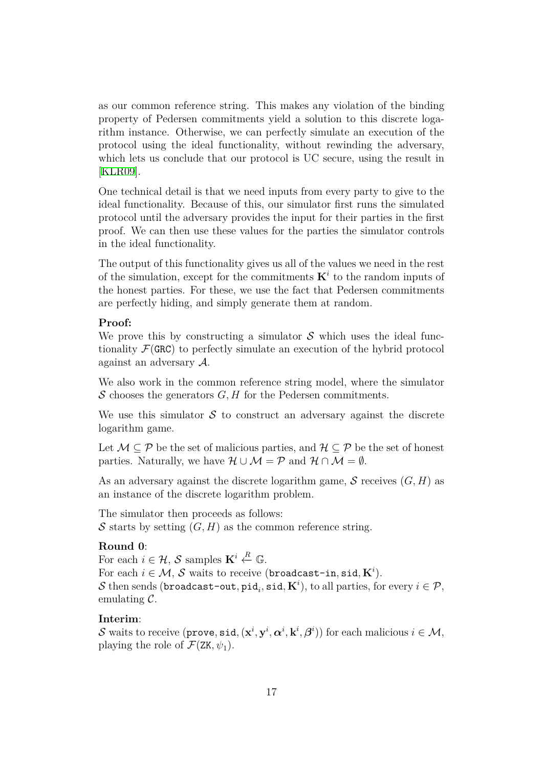as our common reference string. This makes any violation of the binding property of Pedersen commitments yield a solution to this discrete logarithm instance. Otherwise, we can perfectly simulate an execution of the protocol using the ideal functionality, without rewinding the adversary, which lets us conclude that our protocol is UC secure, using the result in [KLR09].

One technical detail is that we need inputs from every party to give to the ideal functionality. Because of this, our simulator first runs the simulated [protocol](#page-26-10) until the adversary provides the input for their parties in the first proof. We can then use these values for the parties the simulator controls in the ideal functionality.

The output of this functionality gives us all of the values we need in the rest of the simulation, except for the commitments  $K^i$  to the random inputs of the honest parties. For these, we use the fact that Pedersen commitments are perfectly hiding, and simply generate them at random.

### **Proof:**

We prove this by constructing a simulator  $S$  which uses the ideal functionality  $\mathcal{F}(\text{GRC})$  to perfectly simulate an execution of the hybrid protocol against an adversary *A*.

We also work in the common reference string model, where the simulator *S* chooses the generators *G, H* for the Pedersen commitments.

We use this simulator  $S$  to construct an adversary against the discrete logarithm game.

Let *M ⊆ P* be the set of malicious parties, and *H ⊆ P* be the set of honest parties. Naturally, we have  $\mathcal{H} \cup \mathcal{M} = \mathcal{P}$  and  $\mathcal{H} \cap \mathcal{M} = \emptyset$ .

As an adversary against the discrete logarithm game, *S* receives (*G, H*) as an instance of the discrete logarithm problem.

The simulator then proceeds as follows:  $S$  starts by setting  $(G, H)$  as the common reference string.

### **Round 0**:

For each  $i \in \mathcal{H}$ , *S* samples  $\mathbf{K}^i \stackrel{R}{\leftarrow} \mathbb{G}$ . For each  $i \in \mathcal{M}$ ,  $\mathcal{S}$  waits to receive (broadcast-in, sid,  $\mathbf{K}^i$ ).  $\mathcal S$  then sends (broadcast-out, pid $_i$ , sid,  $\mathbf K^i)$ , to all parties, for every  $i\in\mathcal P,$ emulating *C*.

### **Interim**:

*S* waits to receive  $(\texttt{prove}, \texttt{sid}, (\mathbf{x}^i, \mathbf{y}^i, \boldsymbol{\alpha}^i, \mathbf{k}^i, \boldsymbol{\beta}^i))$  for each malicious  $i \in \mathcal{M},$ playing the role of  $\mathcal{F}(ZK, \psi_1)$ .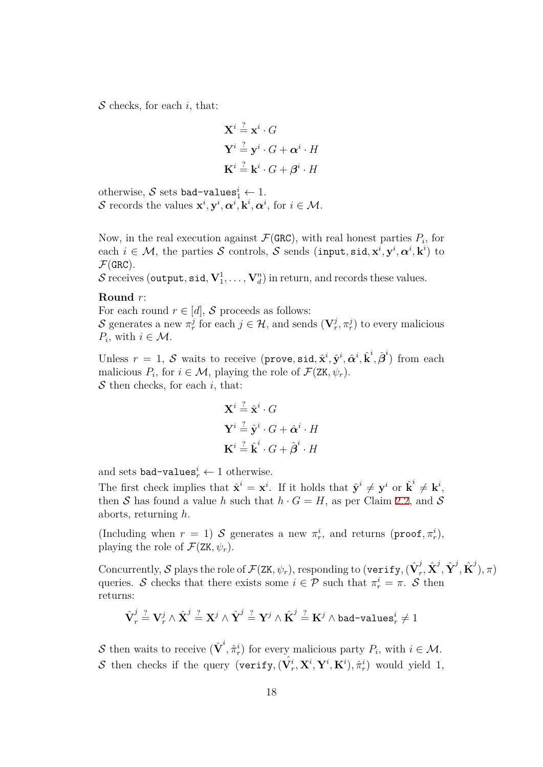*S* checks, for each *i*, that:

$$
\mathbf{X}^{i} \stackrel{?}{=} \mathbf{x}^{i} \cdot G
$$

$$
\mathbf{Y}^{i} \stackrel{?}{=} \mathbf{y}^{i} \cdot G + \boldsymbol{\alpha}^{i} \cdot H
$$

$$
\mathbf{K}^{i} \stackrel{?}{=} \mathbf{k}^{i} \cdot G + \boldsymbol{\beta}^{i} \cdot H
$$

otherwise,  $S$  sets bad-values $i<sup>i</sup> \leftarrow 1$ . *S* records the values  $\mathbf{x}^i, \mathbf{y}^i, \alpha^i, \mathbf{k}^i, \alpha^i$ , for  $i \in \mathcal{M}$ .

Now, in the real execution against  $\mathcal{F}(\text{GRC})$ , with real honest parties  $P_i$ , for each  $i \in \mathcal{M}$ , the parties  $S$  controls,  $S$  sends (input, sid,  $\mathbf{x}^i, \mathbf{y}^i, \boldsymbol{\alpha}^i, \mathbf{k}^i$ ) to  $\mathcal{F}(\texttt{GRC})$ .

 $\mathcal S$  receives (output,  $\texttt{sid}, \textbf{V}_1^1, \dots, \textbf{V}_d^n)$  in return, and records these values.

#### **Round** *r*:

For each round  $r \in [d]$ , *S* proceeds as follows:

*S* generates a new  $\pi_r^j$  for each  $j \in \mathcal{H}$ , and sends  $(\mathbf{V}_r^j, \pi_r^j)$  to every malicious *P*<sup>*i*</sup>, with  $i \in \mathcal{M}$ .

Unless  $r = 1$ ,  $S$  waits to receive (prove, sid,  $\hat{\mathbf{x}}^i$ ,  $\hat{\mathbf{y}}^i$ ,  $\hat{\boldsymbol{\alpha}}^i$ ,  $\hat{\boldsymbol{k}}^i$ ,  $\hat{\boldsymbol{\beta}}^i$ ) from each malicious  $P_i$ , for  $i \in \mathcal{M}$ , playing the role of  $\mathcal{F}(\mathbf{Z}K, \psi_r)$ . *S* then checks, for each *i*, that:

$$
\mathbf{X}^{i} \stackrel{?}{=} \hat{\mathbf{x}}^{i} \cdot G
$$

$$
\mathbf{Y}^{i} \stackrel{?}{=} \hat{\mathbf{y}}^{i} \cdot G + \hat{\boldsymbol{\alpha}}^{i} \cdot H
$$

$$
\mathbf{K}^{i} \stackrel{?}{=} \hat{\mathbf{k}}^{i} \cdot G + \hat{\boldsymbol{\beta}}^{i} \cdot H
$$

and sets bad-values $i_r^i \leftarrow 1$  otherwise.

The first check implies that  $\hat{\mathbf{x}}^i = \mathbf{x}^i$ . If it holds that  $\hat{\mathbf{y}}^i \neq \mathbf{y}^i$  or  $\hat{\mathbf{k}}^i \neq \mathbf{k}^i$ , then *S* has found a value *h* such that  $h \cdot G = H$ , as per Claim 2.2, and *S* aborts, returning *h*.

(Including when  $r = 1$ ) *S* generates a new  $\pi_r^i$ , and returns (proof,  $\pi_r^i$ ), playing the role of  $\mathcal{F}(ZK, \psi_r)$ .

 $\operatorname{Concurrently},\mathcal S$  plays the role of  $\mathcal F(\mathtt{ZK},\psi_r),$  responding to (verify,  $(\hat{\textbf{V}}^j_r)$  $\hat{\textbf{X}}^{j}, \hat{\textbf{X}}^{j}, \hat{\textbf{Y}}^{j}, \hat{\textbf{K}}^{j} ), \pi)$ queries. *S* checks that there exists some  $i \in \mathcal{P}$  such that  $\pi_r^i = \pi$ . *S* then returns:

$$
\hat{\textbf{V}}_{r}^{j} \stackrel{?}{=} \textbf{V}_{r}^{j} \wedge \hat{\textbf{X}}^{j} \stackrel{?}{=} \textbf{X}^{j} \wedge \hat{\textbf{Y}}^{j} \stackrel{?}{=} \textbf{Y}^{j} \wedge \hat{\textbf{K}}^{j} \stackrel{?}{=} \textbf{K}^{j} \wedge \texttt{bad-values}_{r}^{i} \neq 1
$$

*S* then waits to receive  $(\hat{\mathbf{V}}^i, \hat{\pi}_r^i)$  for every malicious party  $P_i$ , with  $i \in \mathcal{M}$ . *S* then checks if the query (verify,  $(\hat{\mathbf{V}}_r^i, \mathbf{X}^i, \mathbf{Y}^i, \mathbf{K}^i), \hat{\pi}_r^i$ ) would yield 1,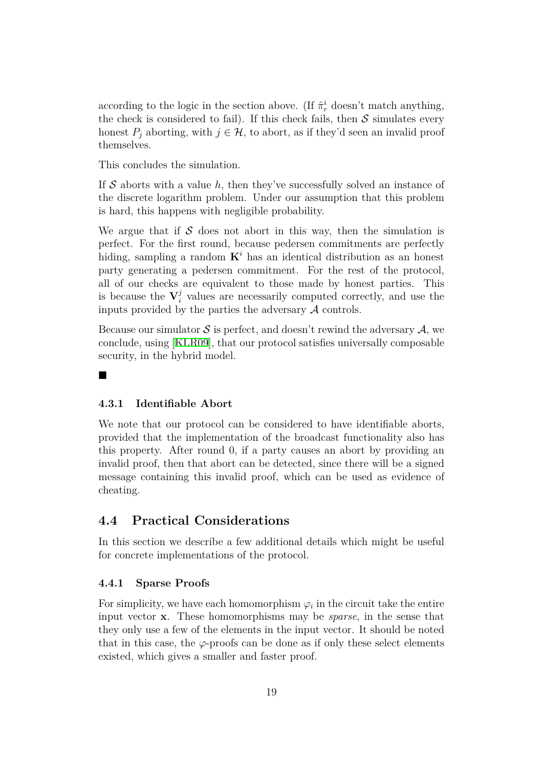according to the logic in the section above. (If  $\hat{\pi}^i_r$  doesn't match anything, the check is considered to fail). If this check fails, then *S* simulates every honest  $P_i$  aborting, with  $j \in \mathcal{H}$ , to abort, as if they'd seen an invalid proof themselves.

This concludes the simulation.

If *S* aborts with a value *h*, then they've successfully solved an instance of the discrete logarithm problem. Under our assumption that this problem is hard, this happens with negligible probability.

We argue that if  $S$  does not abort in this way, then the simulation is perfect. For the first round, because pedersen commitments are perfectly hiding, sampling a random  $K^i$  has an identical distribution as an honest party generating a pedersen commitment. For the rest of the protocol, all of our checks are equivalent to those made by honest parties. This is because the  $V_i^j$  values are necessarily computed correctly, and use the inputs provided by the parties the adversary *A* controls.

Because our simulator *S* is perfect, and doesn't rewind the adversary *A*, we conclude, using [KLR09], that our protocol satisfies universally composable security, in the hybrid model.

#### ■

### **4.3.1 Identifiable Abort**

We note that our protocol can be considered to have identifiable aborts, provided that the implementation of the broadcast functionality also has this property. After round 0, if a party causes an abort by providing an invalid proof, then that abort can be detected, since there will be a signed message containing this invalid proof, which can be used as evidence of cheating.

## **4.4 Practical Considerations**

In this section we describe a few additional details which might be useful for concrete implementations of the protocol.

#### **4.4.1 Sparse Proofs**

For simplicity, we have each homomorphism  $\varphi_i$  in the circuit take the entire input vector **x**. These homomorphisms may be *sparse*, in the sense that they only use a few of the elements in the input vector. It should be noted that in this case, the  $\varphi$ -proofs can be done as if only these select elements existed, which gives a smaller and faster proof.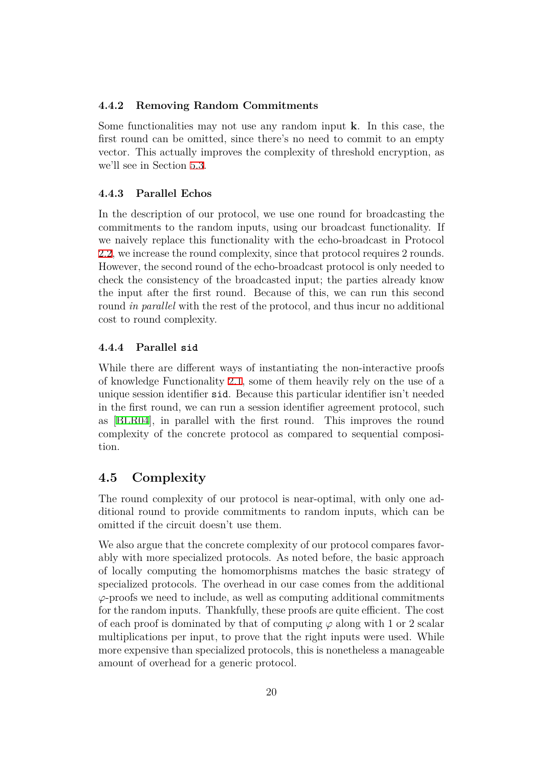### **4.4.2 Removing Random Commitments**

Some functionalities may not use any random input **k**. In this case, the first round can be omitted, since there's no need to commit to an empty vector. This actually improves the complexity of threshold encryption, as we'll see in Section 5.3.

#### **4.4.3 Parallel Echos**

In the description [of ou](#page-21-0)r protocol, we use one round for broadcasting the commitments to the random inputs, using our broadcast functionality. If we naively replace this functionality with the echo-broadcast in Protocol 2.2, we increase the round complexity, since that protocol requires 2 rounds. However, the second round of the echo-broadcast protocol is only needed to check the consistency of the broadcasted input; the parties already know [the](#page-8-0) input after the first round. Because of this, we can run this second round *in parallel* with the rest of the protocol, and thus incur no additional cost to round complexity.

#### **4.4.4 Parallel sid**

While there are different ways of instantiating the non-interactive proofs of knowledge Functionality 2.1, some of them heavily rely on the use of a unique session identifier sid. Because this particular identifier isn't needed in the first round, we can run a session identifier agreement protocol, such as [BLR04], in parallel wi[th t](#page-6-0)he first round. This improves the round complexity of the concrete protocol as compared to sequential composition.

## **4.5 Complexity**

The round complexity of our protocol is near-optimal, with only one additional round to provide commitments to random inputs, which can be omitted if the circuit doesn't use them.

We also argue that the concrete complexity of our protocol compares favorably with more specialized protocols. As noted before, the basic approach of locally computing the homomorphisms matches the basic strategy of specialized protocols. The overhead in our case comes from the additional *φ*-proofs we need to include, as well as computing additional commitments for the random inputs. Thankfully, these proofs are quite efficient. The cost of each proof is dominated by that of computing *φ* along with 1 or 2 scalar multiplications per input, to prove that the right inputs were used. While more expensive than specialized protocols, this is nonetheless a manageable amount of overhead for a generic protocol.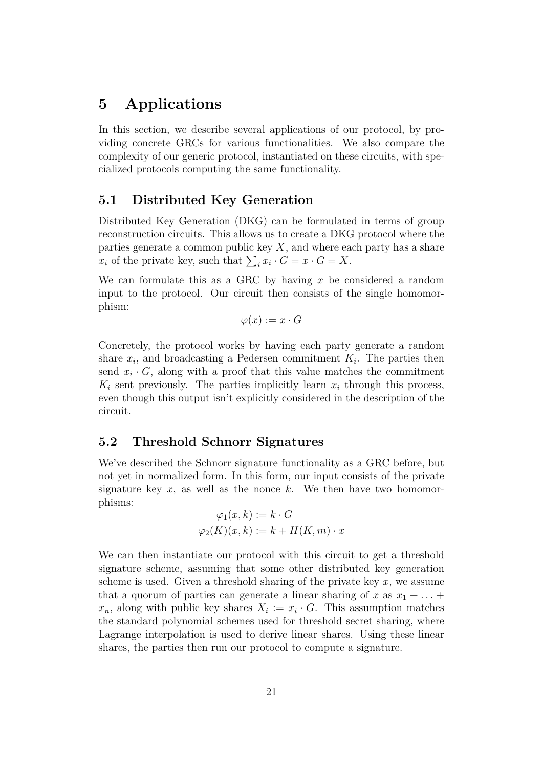# <span id="page-20-0"></span>**5 Applications**

In this section, we describe several applications of our protocol, by providing concrete GRCs for various functionalities. We also compare the complexity of our generic protocol, instantiated on these circuits, with specialized protocols computing the same functionality.

## <span id="page-20-1"></span>**5.1 Distributed Key Generation**

Distributed Key Generation (DKG) can be formulated in terms of group reconstruction circuits. This allows us to create a DKG protocol where the parties generate a common public key  $X$ , and where each party has a share  $x_i$  of the private key, such that  $\sum_i x_i \cdot G = x \cdot G = X$ .

We can formulate this as a GRC by having *x* be considered a random input to the protocol. Our circuit then consists of the single homomorphism:

 $\varphi(x) := x \cdot G$ 

Concretely, the protocol works by having each party generate a random share  $x_i$ , and broadcasting a Pedersen commitment  $K_i$ . The parties then send  $x_i \cdot G$ , along with a proof that this value matches the commitment  $K_i$  sent previously. The parties implicitly learn  $x_i$  through this process, even though this output isn't explicitly considered in the description of the circuit.

## <span id="page-20-2"></span>**5.2 Threshold Schnorr Signatures**

We've described the Schnorr signature functionality as a GRC before, but not yet in normalized form. In this form, our input consists of the private signature key  $x$ , as well as the nonce  $k$ . We then have two homomorphisms:

$$
\varphi_1(x, k) := k \cdot G
$$

$$
\varphi_2(K)(x, k) := k + H(K, m) \cdot x
$$

We can then instantiate our protocol with this circuit to get a threshold signature scheme, assuming that some other distributed key generation scheme is used. Given a threshold sharing of the private key *x*, we assume that a quorum of parties can generate a linear sharing of  $x$  as  $x_1 + \ldots$ .  $x_n$ , along with public key shares  $X_i := x_i \cdot G$ . This assumption matches the standard polynomial schemes used for threshold secret sharing, where Lagrange interpolation is used to derive linear shares. Using these linear shares, the parties then run our protocol to compute a signature.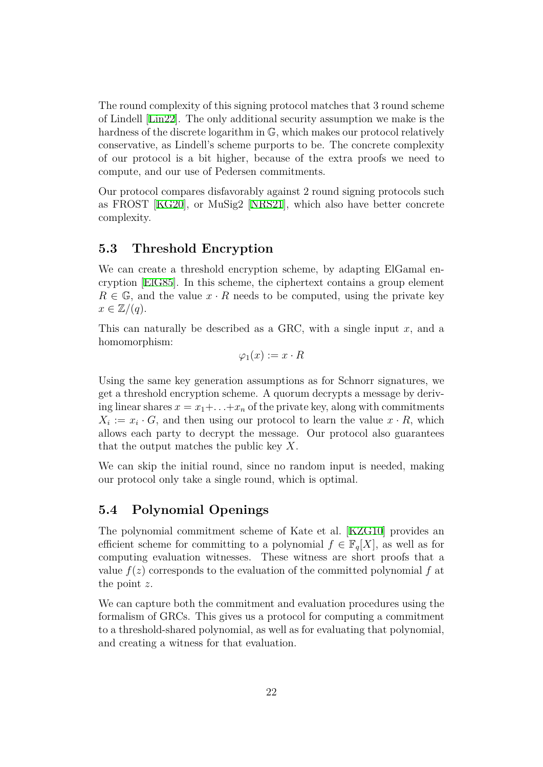The round complexity of this signing protocol matches that 3 round scheme of Lindell [Lin22]. The only additional security assumption we make is the hardness of the discrete logarithm in G, which makes our protocol relatively conservative, as Lindell's scheme purports to be. The concrete complexity of our pro[tocol](#page-27-2) is a bit higher, because of the extra proofs we need to compute, and our use of Pedersen commitments.

Our protocol compares disfavorably against 2 round signing protocols such as FROST [KG20], or MuSig2 [NRS21], which also have better concrete complexity.

## **5.3 Thr[esho](#page-26-2)ld Encryp[tion](#page-27-1)**

<span id="page-21-0"></span>We can create a threshold encryption scheme, by adapting ElGamal encryption [ElG85]. In this scheme, the ciphertext contains a group element  $R \in \mathbb{G}$ , and the value  $x \cdot R$  needs to be computed, using the private key  $x \in \mathbb{Z}/(q)$ .

This can [natura](#page-26-3)lly be described as a GRC, with a single input *x*, and a homomorphism:

 $\varphi_1(x) := x \cdot R$ 

Using the same key generation assumptions as for Schnorr signatures, we get a threshold encryption scheme. A quorum decrypts a message by deriving linear shares  $x = x_1 + \ldots + x_n$  of the private key, along with commitments  $X_i := x_i \cdot G$ , and then using our protocol to learn the value  $x \cdot R$ , which allows each party to decrypt the message. Our protocol also guarantees that the output matches the public key *X*.

We can skip the initial round, since no random input is needed, making our protocol only take a single round, which is optimal.

## **5.4 Polynomial Openings**

The polynomial commitment scheme of Kate et al. [KZG10] provides an efficient scheme for committing to a polynomial  $f \in \mathbb{F}_q[X]$ , as well as for computing evaluation witnesses. These witness are short proofs that a value  $f(z)$  corresponds to the evaluation of the commi[tted pol](#page-26-4)ynomial  $f$  at the point *z*.

We can capture both the commitment and evaluation procedures using the formalism of GRCs. This gives us a protocol for computing a commitment to a threshold-shared polynomial, as well as for evaluating that polynomial, and creating a witness for that evaluation.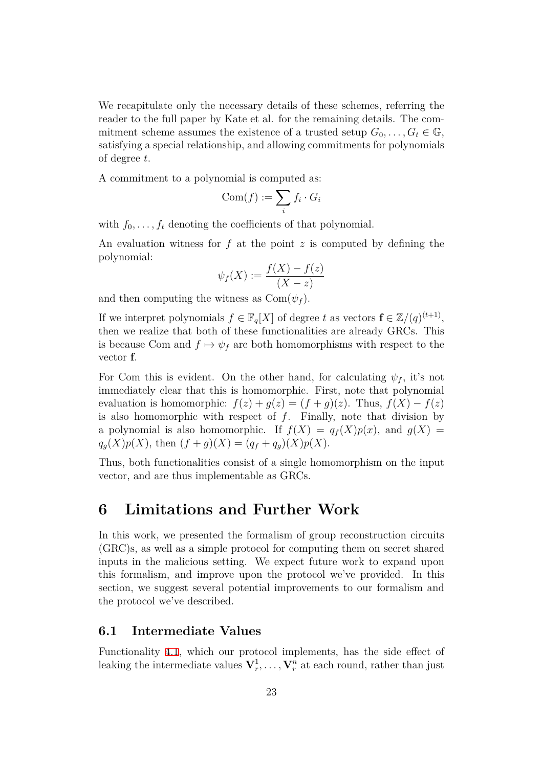We recapitulate only the necessary details of these schemes, referring the reader to the full paper by Kate et al. for the remaining details. The commitment scheme assumes the existence of a trusted setup  $G_0, \ldots, G_t \in \mathbb{G}$ , satisfying a special relationship, and allowing commitments for polynomials of degree *t*.

A commitment to a polynomial is computed as:

$$
\text{Com}(f) := \sum_i f_i \cdot G_i
$$

with  $f_0, \ldots, f_t$  denoting the coefficients of that polynomial.

An evaluation witness for *f* at the point *z* is computed by defining the polynomial:

$$
\psi_f(X) := \frac{f(X) - f(z)}{(X - z)}
$$

and then computing the witness as  $Com(\psi_f)$ .

If we interpret polynomials  $f \in \mathbb{F}_q[X]$  of degree  $t$  as vectors  $\mathbf{f} \in \mathbb{Z}/(q)^{(t+1)}$ , then we realize that both of these functionalities are already GRCs. This is because Com and  $f \mapsto \psi_f$  are both homomorphisms with respect to the vector **f**.

For Com this is evident. On the other hand, for calculating  $\psi_f$ , it's not immediately clear that this is homomorphic. First, note that polynomial evaluation is homomorphic:  $f(z) + g(z) = (f + g)(z)$ . Thus,  $f(X) - f(z)$ is also homomorphic with respect of *f*. Finally, note that division by a polynomial is also homomorphic. If  $f(X) = q_f(X)p(x)$ , and  $g(X) =$  $q_g(X)p(X)$ , then  $(f+g)(X) = (q_f+q_g)(X)p(X)$ .

Thus, both functionalities consist of a single homomorphism on the input vector, and are thus implementable as GRCs.

# **6 Limitations and Further Work**

In this work, we presented the formalism of group reconstruction circuits (GRC)s, as well as a simple protocol for computing them on secret shared inputs in the malicious setting. We expect future work to expand upon this formalism, and improve upon the protocol we've provided. In this section, we suggest several potential improvements to our formalism and the protocol we've described.

## **6.1 Intermediate Values**

Functionality 4.1, which our protocol implements, has the side effect of leaking the intermediate values  $V_r^1, \ldots, V_r^n$  at each round, rather than just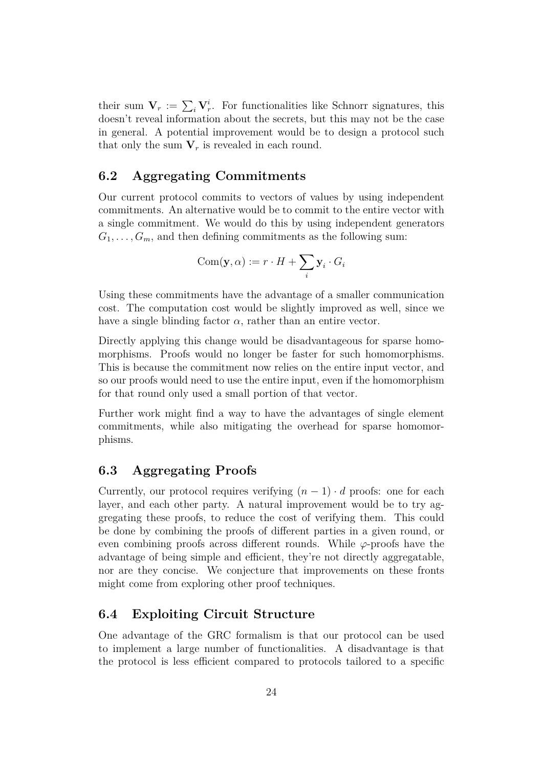their sum  $V_r := \sum_i V_r^i$ . For functionalities like Schnorr signatures, this doesn't reveal information about the secrets, but this may not be the case in general. A potential improvement would be to design a protocol such that only the sum  $V_r$  is revealed in each round.

## **6.2 Aggregating Commitments**

Our current protocol commits to vectors of values by using independent commitments. An alternative would be to commit to the entire vector with a single commitment. We would do this by using independent generators  $G_1, \ldots, G_m$ , and then defining commitments as the following sum:

$$
Com(\mathbf{y}, \alpha) := r \cdot H + \sum_i \mathbf{y}_i \cdot G_i
$$

Using these commitments have the advantage of a smaller communication cost. The computation cost would be slightly improved as well, since we have a single blinding factor  $\alpha$ , rather than an entire vector.

Directly applying this change would be disadvantageous for sparse homomorphisms. Proofs would no longer be faster for such homomorphisms. This is because the commitment now relies on the entire input vector, and so our proofs would need to use the entire input, even if the homomorphism for that round only used a small portion of that vector.

Further work might find a way to have the advantages of single element commitments, while also mitigating the overhead for sparse homomorphisms.

## **6.3 Aggregating Proofs**

Currently, our protocol requires verifying  $(n-1) \cdot d$  proofs: one for each layer, and each other party. A natural improvement would be to try aggregating these proofs, to reduce the cost of verifying them. This could be done by combining the proofs of different parties in a given round, or even combining proofs across different rounds. While *φ*-proofs have the advantage of being simple and efficient, they're not directly aggregatable, nor are they concise. We conjecture that improvements on these fronts might come from exploring other proof techniques.

## **6.4 Exploiting Circuit Structure**

One advantage of the GRC formalism is that our protocol can be used to implement a large number of functionalities. A disadvantage is that the protocol is less efficient compared to protocols tailored to a specific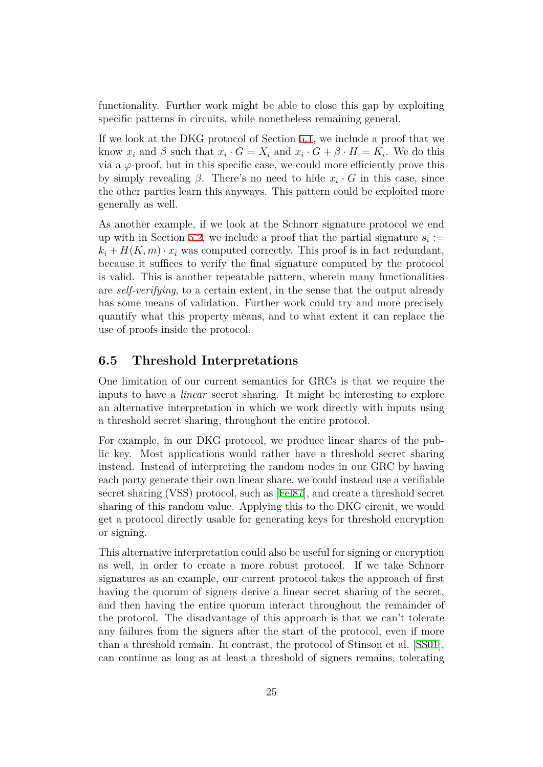functionality. Further work might be able to close this gap by exploiting specific patterns in circuits, while nonetheless remaining general.

If we look at the DKG protocol of Section 5.1, we include a proof that we know  $x_i$  and  $\beta$  such that  $x_i \cdot G = X_i$  and  $x_i \cdot G + \beta \cdot H = K_i$ . We do this via a  $\varphi$ -proof, but in this specific case, we could more efficiently prove this by simply revealing  $\beta$ . There's no need t[o hi](#page-20-1)de  $x_i \cdot G$  in this case, since the other parties learn this anyways. This pattern could be exploited more generally as well.

As another example, if we look at the Schnorr signature protocol we end up with in Section 5.2, we include a proof that the partial signature  $s_i$ :  $k_i + H(K, m) \cdot x_i$  was computed correctly. This proof is in fact redundant, because it suffices to verify the final signature computed by the protocol is valid. This is an[oth](#page-20-2)er repeatable pattern, wherein many functionalities are *self-verifying*, to a certain extent, in the sense that the output already has some means of validation. Further work could try and more precisely quantify what this property means, and to what extent it can replace the use of proofs inside the protocol.

## **6.5 Threshold Interpretations**

One limitation of our current semantics for GRCs is that we require the inputs to have a *linear* secret sharing. It might be interesting to explore an alternative interpretation in which we work directly with inputs using a threshold secret sharing, throughout the entire protocol.

For example, in our DKG protocol, we produce linear shares of the public key. Most applications would rather have a threshold secret sharing instead. Instead of interpreting the random nodes in our GRC by having each party generate their own linear share, we could instead use a verifiable secret sharing (VSS) protocol, such as [Fel87], and create a threshold secret sharing of this random value. Applying this to the DKG circuit, we would get a protocol directly usable for generating keys for threshold encryption or signing.

This alternative interpretation could also be useful for signing or encryption as well, in order to create a more robust protocol. If we take Schnorr signatures as an example, our current protocol takes the approach of first having the quorum of signers derive a linear secret sharing of the secret, and then having the entire quorum interact throughout the remainder of the protocol. The disadvantage of this approach is that we can't tolerate any failures from the signers after the start of the protocol, even if more than a threshold remain. In contrast, the protocol of Stinson et al. [SS01], can continue as long as at least a threshold of signers remains, tolerating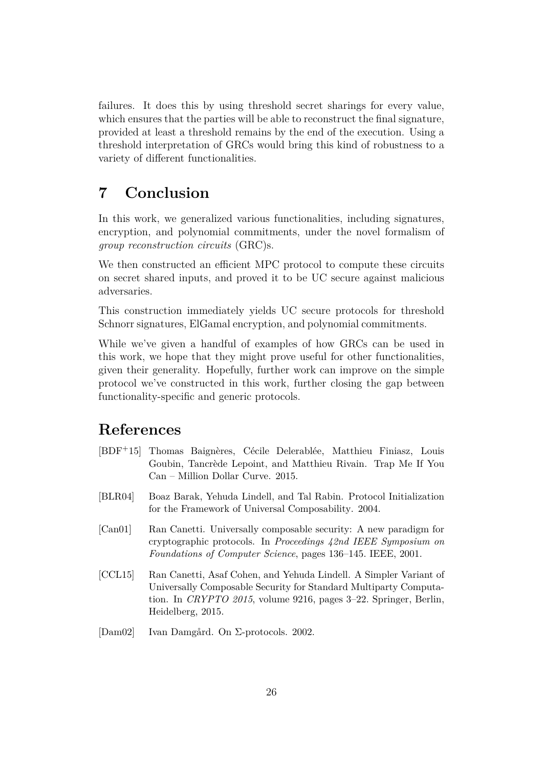failures. It does this by using threshold secret sharings for every value, which ensures that the parties will be able to reconstruct the final signature, provided at least a threshold remains by the end of the execution. Using a threshold interpretation of GRCs would bring this kind of robustness to a variety of different functionalities.

# **7 Conclusion**

In this work, we generalized various functionalities, including signatures, encryption, and polynomial commitments, under the novel formalism of *group reconstruction circuits* (GRC)s.

We then constructed an efficient MPC protocol to compute these circuits on secret shared inputs, and proved it to be UC secure against malicious adversaries.

This construction immediately yields UC secure protocols for threshold Schnorr signatures, ElGamal encryption, and polynomial commitments.

While we've given a handful of examples of how GRCs can be used in this work, we hope that they might prove useful for other functionalities, given their generality. Hopefully, further work can improve on the simple protocol we've constructed in this work, further closing the gap between functionality-specific and generic protocols.

# **References**

- <span id="page-25-1"></span>[BDF+15] Thomas Baignères, Cécile Delerablée, Matthieu Finiasz, Louis Goubin, Tancrède Lepoint, and Matthieu Rivain. Trap Me If You Can – Million Dollar Curve. 2015.
- [BLR04] Boaz Barak, Yehuda Lindell, and Tal Rabin. Protocol Initialization for the Framework of Universal Composability. 2004.
- <span id="page-25-0"></span>[Can01] Ran Canetti. Universally composable security: A new paradigm for cryptographic protocols. In *Proceedings 42nd IEEE Symposium on Foundations of Computer Science*, pages 136–145. IEEE, 2001.
- <span id="page-25-3"></span>[CCL15] Ran Canetti, Asaf Cohen, and Yehuda Lindell. A Simpler Variant of Universally Composable Security for Standard Multiparty Computation. In *CRYPTO 2015*, volume 9216, pages 3–22. Springer, Berlin, Heidelberg, 2015.
- <span id="page-25-2"></span>[Dam02] Ivan Damgård. On Σ-protocols. 2002.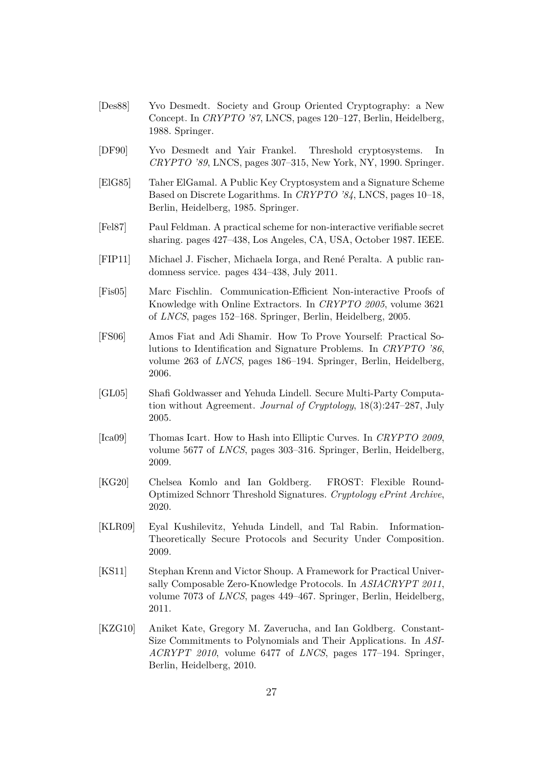- <span id="page-26-0"></span>[Des88] Yvo Desmedt. Society and Group Oriented Cryptography: a New Concept. In *CRYPTO '87*, LNCS, pages 120–127, Berlin, Heidelberg, 1988. Springer.
- <span id="page-26-1"></span>[DF90] Yvo Desmedt and Yair Frankel. Threshold cryptosystems. In *CRYPTO '89*, LNCS, pages 307–315, New York, NY, 1990. Springer.
- <span id="page-26-3"></span>[ElG85] Taher ElGamal. A Public Key Cryptosystem and a Signature Scheme Based on Discrete Logarithms. In *CRYPTO '84*, LNCS, pages 10–18, Berlin, Heidelberg, 1985. Springer.
- [Fel87] Paul Feldman. A practical scheme for non-interactive verifiable secret sharing. pages 427–438, Los Angeles, CA, USA, October 1987. IEEE.
- <span id="page-26-6"></span>[FIP11] Michael J. Fischer, Michaela Iorga, and René Peralta. A public randomness service. pages 434–438, July 2011.
- <span id="page-26-7"></span>[Fis05] Marc Fischlin. Communication-Efficient Non-interactive Proofs of Knowledge with Online Extractors. In *CRYPTO 2005*, volume 3621 of *LNCS*, pages 152–168. Springer, Berlin, Heidelberg, 2005.
- <span id="page-26-8"></span>[FS06] Amos Fiat and Adi Shamir. How To Prove Yourself: Practical Solutions to Identification and Signature Problems. In *CRYPTO '86*, volume 263 of *LNCS*, pages 186–194. Springer, Berlin, Heidelberg, 2006.
- <span id="page-26-9"></span>[GL05] Shafi Goldwasser and Yehuda Lindell. Secure Multi-Party Computation without Agreement. *Journal of Cryptology*, 18(3):247–287, July 2005.
- <span id="page-26-5"></span>[Ica09] Thomas Icart. How to Hash into Elliptic Curves. In *CRYPTO 2009*, volume 5677 of *LNCS*, pages 303–316. Springer, Berlin, Heidelberg, 2009.
- <span id="page-26-2"></span>[KG20] Chelsea Komlo and Ian Goldberg. FROST: Flexible Round-Optimized Schnorr Threshold Signatures. *Cryptology ePrint Archive*, 2020.
- <span id="page-26-10"></span>[KLR09] Eyal Kushilevitz, Yehuda Lindell, and Tal Rabin. Information-Theoretically Secure Protocols and Security Under Composition. 2009.
- [KS11] Stephan Krenn and Victor Shoup. A Framework for Practical Universally Composable Zero-Knowledge Protocols. In *ASIACRYPT 2011*, volume 7073 of *LNCS*, pages 449–467. Springer, Berlin, Heidelberg, 2011.
- <span id="page-26-4"></span>[KZG10] Aniket Kate, Gregory M. Zaverucha, and Ian Goldberg. Constant-Size Commitments to Polynomials and Their Applications. In *ASI-ACRYPT 2010*, volume 6477 of *LNCS*, pages 177–194. Springer, Berlin, Heidelberg, 2010.